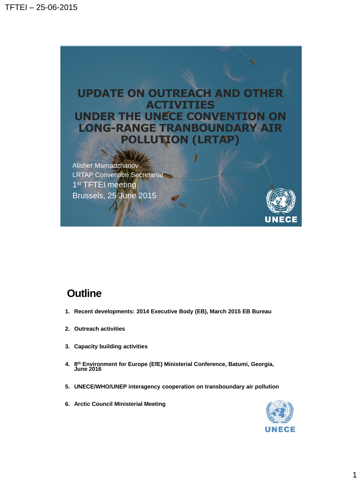

## **Outline**

- **1. Recent developments: 2014 Executive Body (EB), March 2015 EB Bureau**
- **2. Outreach activities**
- **3. Capacity building activities**
- **4. 8 th Environment for Europe (EfE) Ministerial Conference, Batumi, Georgia, June 2016**
- **5. UNECE/WHO/UNEP interagency cooperation on transboundary air pollution**
- **6. Arctic Council Ministerial Meeting**

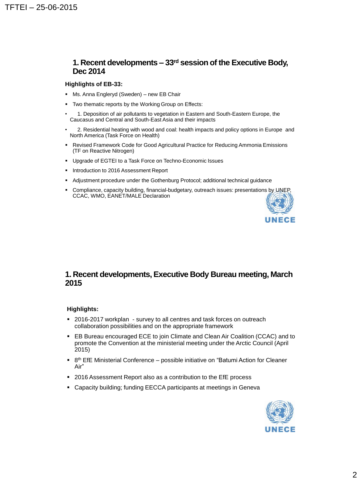### **1. Recent developments – 33rd session of the Executive Body, Dec 2014**

#### **Highlights of EB-33:**

- Ms. Anna Engleryd (Sweden) new EB Chair
- **Two thematic reports by the Working Group on Effects:**
- 1. Deposition of air pollutants to vegetation in Eastern and South-Eastern Europe, the Caucasus and Central and South-East Asia and their impacts
- 2. Residential heating with wood and coal: health impacts and policy options in Europe and North America (Task Force on Health)
- Revised Framework Code for Good Agricultural Practice for Reducing Ammonia Emissions (TF on Reactive Nitrogen)
- **Upgrade of EGTEI to a Task Force on Techno-Economic Issues**
- **Introduction to 2016 Assessment Report**
- Adjustment procedure under the Gothenburg Protocol; additional technical guidance
- Compliance, capacity building, financial-budgetary, outreach issues: presentations by UNEP, CCAC, WMO, EANET/MALE Declaration



### **1. Recent developments, Executive Body Bureau meeting, March 2015**

#### **Highlights:**

- 2016-2017 workplan survey to all centres and task forces on outreach collaboration possibilities and on the appropriate framework
- EB Bureau encouraged ECE to join Climate and Clean Air Coalition (CCAC) and to promote the Convention at the ministerial meeting under the Arctic Council (April 2015)
- 8<sup>th</sup> EfE Ministerial Conference possible initiative on "Batumi Action for Cleaner Air"
- 2016 Assessment Report also as a contribution to the EfE process
- Capacity building; funding EECCA participants at meetings in Geneva

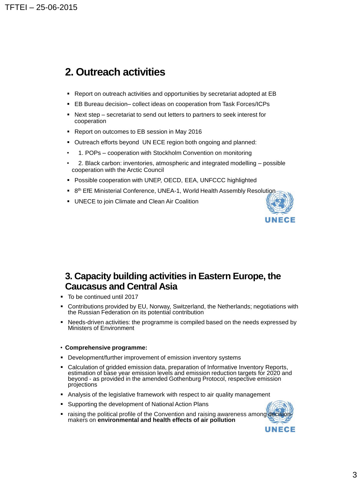## **2. Outreach activities**

- Report on outreach activities and opportunities by secretariat adopted at EB
- EB Bureau decision– collect ideas on cooperation from Task Forces/ICPs
- Next step secretariat to send out letters to partners to seek interest for cooperation
- **Report on outcomes to EB session in May 2016**
- Outreach efforts beyond UN ECE region both ongoing and planned:
- 1. POPs cooperation with Stockholm Convention on monitoring
- 2. Black carbon: inventories, atmospheric and integrated modelling possible cooperation with the Arctic Council
- Possible cooperation with UNEP, OECD, EEA, UNFCCC highlighted
- 8<sup>th</sup> EfE Ministerial Conference, UNEA-1, World Health Assembly Resolution
- UNECE to join Climate and Clean Air Coalition



### **3. Capacity building activities in Eastern Europe, the Caucasus and Central Asia**

- To be continued until 2017
- Contributions provided by EU, Norway, Switzerland, the Netherlands; negotiations with the Russian Federation on its potential contribution
- Needs-driven activities: the programme is compiled based on the needs expressed by Ministers of Environment

#### • **Comprehensive programme:**

- Development/further improvement of emission inventory systems
- Calculation of gridded emission data, preparation of Informative Inventory Reports, estimation of base year emission levels and emission reduction targets for 2020 and beyond - as provided in the amended Gothenburg Protocol, respective emission projections
- Analysis of the legislative framework with respect to air quality management
- Supporting the development of National Action Plans
- raising the political profile of the Convention and raising awareness among decisionmakers on **environmental and health effects of air pollution**

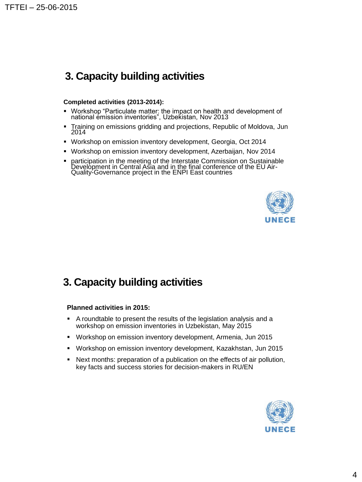# **3. Capacity building activities**

#### **Completed activities (2013-2014):**

- Workshop "Particulate matter: the impact on health and development of national emission inventories", Uzbekistan, Nov 2013
- Training on emissions gridding and projections, Republic of Moldova, Jun 2014
- Workshop on emission inventory development, Georgia, Oct 2014
- Workshop on emission inventory development, Azerbaijan, Nov 2014
- participation in the meeting of the Interstate Commission on Sustainable Development in Central Asia and in the final conference of the EU Air-Quality-Governance project in the ENPI East countries



# **3. Capacity building activities**

#### **Planned activities in 2015:**

- A roundtable to present the results of the legislation analysis and a workshop on emission inventories in Uzbekistan, May 2015
- Workshop on emission inventory development, Armenia, Jun 2015
- Workshop on emission inventory development, Kazakhstan, Jun 2015
- Next months: preparation of a publication on the effects of air pollution, key facts and success stories for decision-makers in RU/EN

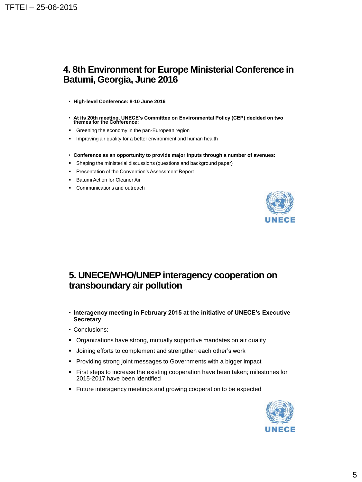## **4. 8th Environment for Europe Ministerial Conference in Batumi, Georgia, June 2016**

- **High-level Conference: 8-10 June 2016**
- **At its 20th meeting, UNECE's Committee on Environmental Policy (CEP) decided on two themes for the Conference:**
- **Greening the economy in the pan-European region**
- **IMPROVING A.** Improving air quality for a better environment and human health
- **Conference as an opportunity to provide major inputs through a number of avenues:**
- **Shaping the ministerial discussions (questions and background paper)**
- **Presentation of the Convention's Assessment Report**
- Batumi Action for Cleaner Air
- Communications and outreach



### **5. UNECE/WHO/UNEP interagency cooperation on transboundary air pollution**

- **Interagency meeting in February 2015 at the initiative of UNECE's Executive Secretary**
- Conclusions:
- Organizations have strong, mutually supportive mandates on air quality
- Joining efforts to complement and strengthen each other's work
- Providing strong joint messages to Governments with a bigger impact
- **First steps to increase the existing cooperation have been taken; milestones for** 2015-2017 have been identified
- Future interagency meetings and growing cooperation to be expected